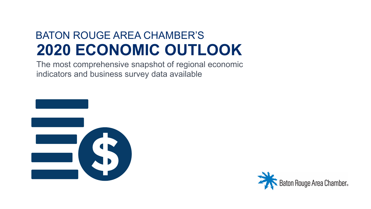#### BATON ROUGE AREA CHAMBER'S **2020 ECONOMIC OUTLOOK**

The most comprehensive snapshot of regional economic indicators and business survey data available



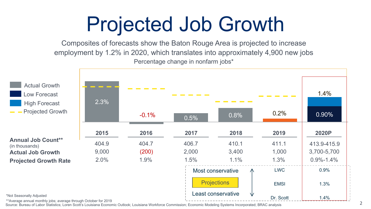## Projected Job Growth

Composites of forecasts show the Baton Rouge Area is projected to increase employment by 1.2% in 2020, which translates into approximately 4,900 new jobs Percentage change in nonfarm jobs\*



\*\*Average annual monthly jobs; average through October for 2019

Source: Bureau of Labor Statistics; Loren Scott's Louisiana Economic Outlook; Louisiana Workforce Commission; Economic Modeling Systems Incorporated; BRAC analysis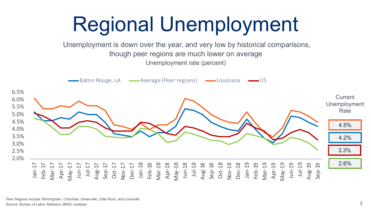

Peer Regions include: Birmingham, Columbia, Greenville, Little Rock, and Louisville Source: Bureau of Labor Statistics; BRAC analysis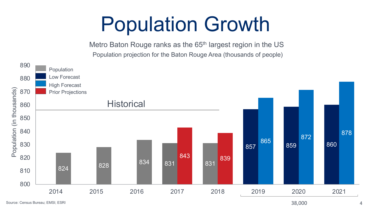## Population Growth

Metro Baton Rouge ranks as the 65<sup>th</sup> largest region in the US Population projection for the Baton Rouge Area (thousands of people)



38,000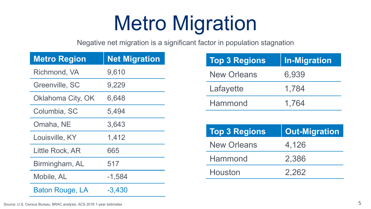## Metro Migration

Negative net migration is a significant factor in population stagnation

| <b>Metro Region</b>    | <b>Net Migration</b> |
|------------------------|----------------------|
| Richmond, VA           | 9,610                |
| Greenville, SC         | 9,229                |
| Oklahoma City, OK      | 6,648                |
| Columbia, SC           | 5,494                |
| Omaha, NE              | 3,643                |
| Louisville, KY         | 1,412                |
| Little Rock, AR        | 665                  |
| Birmingham, AL         | 517                  |
| Mobile, AL             | $-1,584$             |
| <b>Baton Rouge, LA</b> | $-3,430$             |

| <b>Top 3 Regions</b> | <b>In-Migration</b> |
|----------------------|---------------------|
| <b>New Orleans</b>   | 6,939               |
| Lafayette            | 1,784               |
| Hammond              | 1,764               |

| <b>Top 3 Regions</b> | <b>Out-Migration</b> |
|----------------------|----------------------|
| <b>New Orleans</b>   | 4,126                |
| Hammond              | 2,386                |
| Houston              | 2.262                |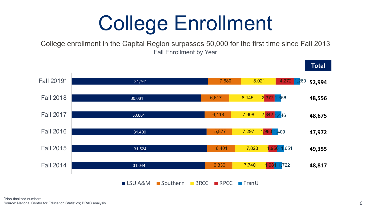## College Enrollment

College enrollment in the Capital Region surpasses 50,000 for the first time since Fall 2013 Fall Enrollment by Year

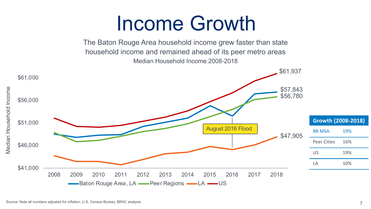## Income Growth

The Baton Rouge Area household income grew faster than state household income and remained ahead of its peer metro areas Median Household Income 2008-2018

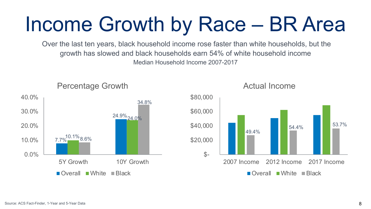## Income Growth by Race – BR Area

Over the last ten years, black household income rose faster than white households, but the growth has slowed and black households earn 54% of white household income Median Household Income 2007-2017



Actual Income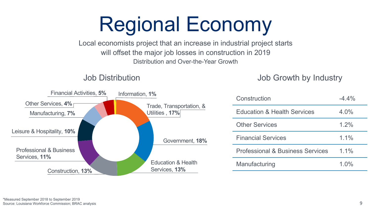## Regional Economy

Local economists project that an increase in industrial project starts will offset the major job losses in construction in 2019 Distribution and Over-the-Year Growth

#### Job Distribution

Job Growth by Industry

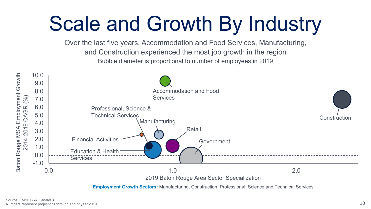## Scale and Growth By Industry

Over the last five years, Accommodation and Food Services, Manufacturing, and Construction experienced the most job growth in the region Bubble diameter is proportional to number of employees in 2019



**Employment Growth Sectors:** Manufacturing, Construction, Professional, Science and Technical Services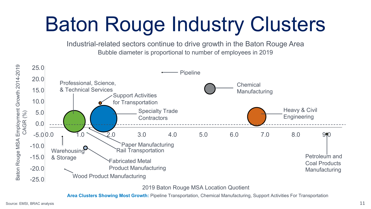# Baton Rouge Industry Clusters

Industrial-related sectors continue to drive growth in the Baton Rouge Area Bubble diameter is proportional to number of employees in 2019



2019 Baton Rouge MSA Location Quotient

**Area Clusters Showing Most Growth:** Pipeline Transportation, Chemical Manufacturing, Support Activities For Transportation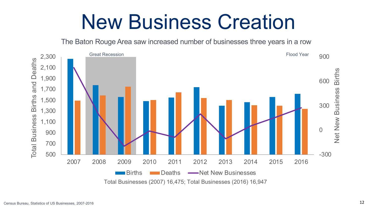### New Business Creation

The Baton Rouge Area saw increased number of businesses three years in a row

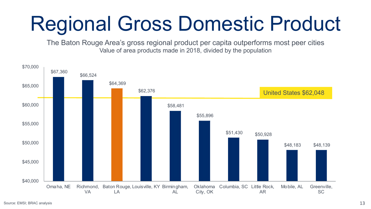# Regional Gross Domestic Product

The Baton Rouge Area's gross regional product per capita outperforms most peer cities Value of area products made in 2018, divided by the population

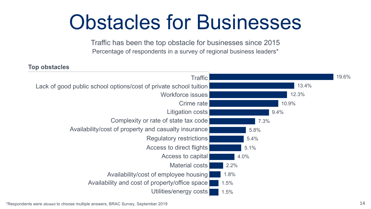## Obstacles for Businesses

Traffic has been the top obstacle for businesses since 2015 Percentage of respondents in a survey of regional business leaders\*

#### **Top obstacles**

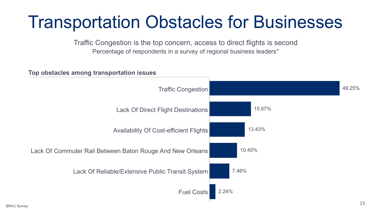#### Transportation Obstacles for Businesses

Traffic Congestion is the top concern, access to direct flights is second Percentage of respondents in a survey of regional business leaders\*

**Top obstacles among transportation issues**

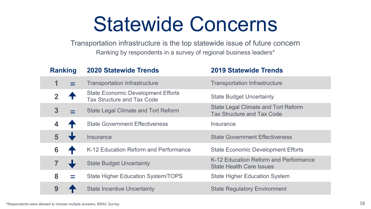## Statewide Concerns

Transportation infrastructure is the top statewide issue of future concern Ranking by respondents in a survey of regional business leaders\*

| <b>Ranking</b> | <b>2020 Statewide Trends</b>                                                   | <b>2019 Statewide Trends</b>                                             |  |  |  |  |
|----------------|--------------------------------------------------------------------------------|--------------------------------------------------------------------------|--|--|--|--|
| 1              | <b>Transportation Infrastructure</b>                                           | <b>Transportation Infrastructure</b>                                     |  |  |  |  |
| 2 <sup>7</sup> | <b>State Economic Development Efforts</b><br><b>Tax Structure and Tax Code</b> | <b>State Budget Uncertainty</b>                                          |  |  |  |  |
| 3              | <b>State Legal Climate and Tort Reform</b>                                     | State Legal Climate and Tort Reform<br><b>Tax Structure and Tax Code</b> |  |  |  |  |
| 4              | <b>State Government Effectiveness</b>                                          | Insurance                                                                |  |  |  |  |
| 5              | Insurance                                                                      | <b>State Government Effectiveness</b>                                    |  |  |  |  |
| 6              | K-12 Education Reform and Performance                                          | <b>State Economic Development Efforts</b>                                |  |  |  |  |
|                | <b>State Budget Uncertainty</b>                                                | K-12 Education Reform and Performance<br><b>State Health Care Issues</b> |  |  |  |  |
| 8              | <b>State Higher Education System/TOPS</b>                                      | <b>State Higher Education System</b>                                     |  |  |  |  |
| 9              | <b>State Incentive Uncertainty</b>                                             | <b>State Regulatory Environment</b>                                      |  |  |  |  |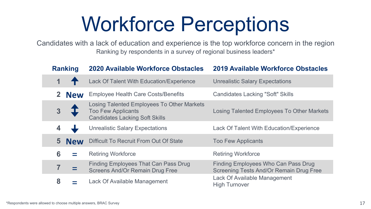## Workforce Perceptions

Candidates with a lack of education and experience is the top workforce concern in the region Ranking by respondents in a survey of regional business leaders\*

| <b>Ranking</b>          |                                                      | <b>2020 Available Workforce Obstacles</b>                                                                        | <b>2019 Available Workforce Obstacles</b>                                      |  |  |  |  |  |
|-------------------------|------------------------------------------------------|------------------------------------------------------------------------------------------------------------------|--------------------------------------------------------------------------------|--|--|--|--|--|
|                         |                                                      | Lack Of Talent With Education/Experience                                                                         | <b>Unrealistic Salary Expectations</b>                                         |  |  |  |  |  |
|                         | 2 New                                                | <b>Employee Health Care Costs/Benefits</b>                                                                       | <b>Candidates Lacking "Soft" Skills</b>                                        |  |  |  |  |  |
|                         |                                                      | Losing Talented Employees To Other Markets<br><b>Too Few Applicants</b><br><b>Candidates Lacking Soft Skills</b> | Losing Talented Employees To Other Markets                                     |  |  |  |  |  |
|                         |                                                      | <b>Unrealistic Salary Expectations</b>                                                                           | Lack Of Talent With Education/Experience                                       |  |  |  |  |  |
| $\overline{\mathbf{5}}$ | Difficult To Recruit From Out Of State<br><b>New</b> |                                                                                                                  | <b>Too Few Applicants</b>                                                      |  |  |  |  |  |
| 6                       |                                                      | <b>Retiring Workforce</b>                                                                                        | <b>Retiring Workforce</b>                                                      |  |  |  |  |  |
|                         |                                                      | Finding Employees That Can Pass Drug<br><b>Screens And/Or Remain Drug Free</b>                                   | Finding Employees Who Can Pass Drug<br>Screening Tests And/Or Remain Drug Free |  |  |  |  |  |
| 8                       | Lack Of Available Management                         |                                                                                                                  | Lack Of Available Management<br><b>High Turnover</b>                           |  |  |  |  |  |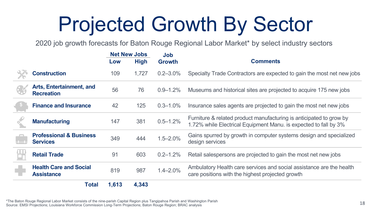## Projected Growth By Sector

2020 job growth forecasts for Baton Rouge Regional Labor Market\* by select industry sectors

|                |                                                           |       | <b>Net New Jobs</b>   |               |                                                                                                                                         |  |  |  |  |
|----------------|-----------------------------------------------------------|-------|-----------------------|---------------|-----------------------------------------------------------------------------------------------------------------------------------------|--|--|--|--|
|                |                                                           |       | <b>High</b><br>Growth |               | <b>Comments</b>                                                                                                                         |  |  |  |  |
|                | <b>Construction</b>                                       | 109   | 1,727                 | $0.2 - 3.0\%$ | Specialty Trade Contractors are expected to gain the most net new jobs                                                                  |  |  |  |  |
|                | <b>Arts, Entertainment, and</b><br><b>Recreation</b>      | 56    | 76                    | $0.9 - 1.2\%$ | Museums and historical sites are projected to acquire 175 new jobs                                                                      |  |  |  |  |
|                | <b>Finance and Insurance</b>                              | 42    | 125                   | $0.3 - 1.0\%$ | Insurance sales agents are projected to gain the most net new jobs                                                                      |  |  |  |  |
|                | <b>Manufacturing</b>                                      | 147   | 381                   | $0.5 - 1.2%$  | Furniture & related product manufacturing is anticipated to grow by<br>1.72% while Electrical Equipment Manu. is expected to fall by 3% |  |  |  |  |
| $\overline{1}$ | <b>Professional &amp; Business</b><br><b>Services</b>     | 349   | 444                   | $1.5 - 2.0\%$ | Gains spurred by growth in computer systems design and specialized<br>design services                                                   |  |  |  |  |
|                | <b>Retail Trade</b>                                       | 91    | 603                   | $0.2 - 1.2%$  | Retail salespersons are projected to gain the most net new jobs                                                                         |  |  |  |  |
|                | <b>Health Care and Social</b><br>819<br><b>Assistance</b> |       | 987                   | $1.4 - 2.0%$  | Ambulatory Health care services and social assistance are the health<br>care positions with the highest projected growth                |  |  |  |  |
|                | Total                                                     | 1,613 | 4,343                 |               |                                                                                                                                         |  |  |  |  |

18 \*The Baton Rouge Regional Labor Market consists of the nine-parish Capital Region plus Tangipahoa Parish and Washington Parish Source: EMSI Projections; Louisiana Workforce Commission Long-Term Projections; Baton Rouge Region; BRAC analysis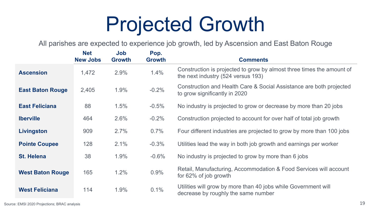## Projected Growth

All parishes are expected to experience job growth, led by Ascension and East Baton Rouge

|                         | <b>Net</b><br><b>New Jobs</b> | Job<br><b>Growth</b> | Pop.<br><b>Growth</b> | <b>Comments</b>                                                                                             |
|-------------------------|-------------------------------|----------------------|-----------------------|-------------------------------------------------------------------------------------------------------------|
| <b>Ascension</b>        | 1,472                         | 2.9%                 | 1.4%                  | Construction is projected to grow by almost three times the amount of<br>the next industry (524 versus 193) |
| <b>East Baton Rouge</b> | 2,405                         | 1.9%                 | $-0.2%$               | Construction and Health Care & Social Assistance are both projected<br>to grow significantly in 2020        |
| <b>East Feliciana</b>   | 88                            | 1.5%                 | $-0.5%$               | No industry is projected to grow or decrease by more than 20 jobs                                           |
| <b>Iberville</b>        | 464                           | 2.6%                 | $-0.2%$               | Construction projected to account for over half of total job growth                                         |
| Livingston              | 909                           | 2.7%                 | 0.7%                  | Four different industries are projected to grow by more than 100 jobs                                       |
| <b>Pointe Coupee</b>    | 128                           | 2.1%                 | $-0.3%$               | Utilities lead the way in both job growth and earnings per worker                                           |
| <b>St. Helena</b>       | 38                            | 1.9%                 | $-0.6%$               | No industry is projected to grow by more than 6 jobs                                                        |
| <b>West Baton Rouge</b> | 165                           | 1.2%                 | 0.9%                  | Retail, Manufacturing, Accommodation & Food Services will account<br>for 62% of job growth                  |
| <b>West Feliciana</b>   | 114                           | 1.9%                 | 0.1%                  | Utilities will grow by more than 40 jobs while Government will<br>decrease by roughly the same number       |